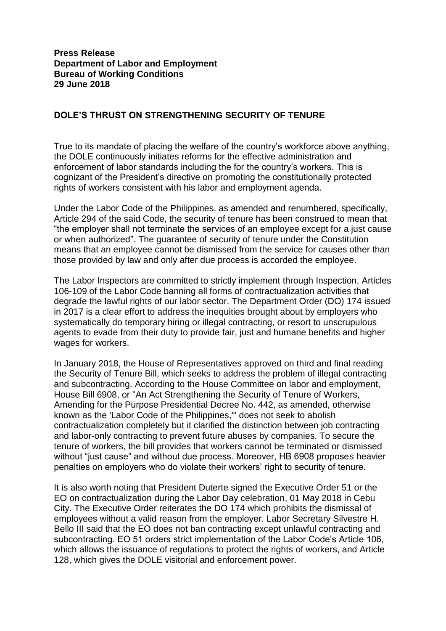## **DOLE'S THRUST ON STRENGTHENING SECURITY OF TENURE**

True to its mandate of placing the welfare of the country's workforce above anything, the DOLE continuously initiates reforms for the effective administration and enforcement of labor standards including the for the country's workers. This is cognizant of the President's directive on promoting the constitutionally protected rights of workers consistent with his labor and employment agenda.

Under the Labor Code of the Philippines, as amended and renumbered, specifically, Article 294 of the said Code, the security of tenure has been construed to mean that "the employer shall not terminate the services of an employee except for a just cause or when authorized". The guarantee of security of tenure under the Constitution means that an employee cannot be dismissed from the service for causes other than those provided by law and only after due process is accorded the employee.

The Labor Inspectors are committed to strictly implement through Inspection, Articles 106-109 of the Labor Code banning all forms of contractualization activities that degrade the lawful rights of our labor sector. The Department Order (DO) 174 issued in 2017 is a clear effort to address the inequities brought about by employers who systematically do temporary hiring or illegal contracting, or resort to unscrupulous agents to evade from their duty to provide fair, just and humane benefits and higher wages for workers.

In January 2018, the House of Representatives approved on third and final reading the Security of Tenure Bill, which seeks to address the problem of illegal contracting and subcontracting. According to the House Committee on labor and employment, House Bill 6908, or "An Act Strengthening the Security of Tenure of Workers, Amending for the Purpose Presidential Decree No. 442, as amended, otherwise known as the 'Labor Code of the Philippines,'" does not seek to abolish contractualization completely but it clarified the distinction between job contracting and labor-only contracting to prevent future abuses by companies. To secure the tenure of workers, the bill provides that workers cannot be terminated or dismissed without "just cause" and without due process. Moreover, HB 6908 proposes heavier penalties on employers who do violate their workers' right to security of tenure.

It is also worth noting that President Duterte signed the Executive Order 51 or the EO on contractualization during the Labor Day celebration, 01 May 2018 in Cebu City. The Executive Order reiterates the DO 174 which prohibits the dismissal of employees without a valid reason from the employer. Labor Secretary Silvestre H. Bello III said that the EO does not ban contracting except unlawful contracting and subcontracting. EO 51 orders strict implementation of the Labor Code's Article 106, which allows the issuance of regulations to protect the rights of workers, and Article 128, which gives the DOLE visitorial and enforcement power.